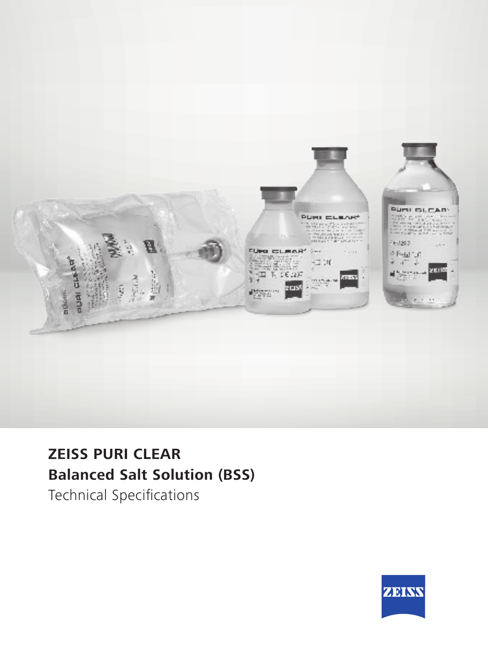

## **ZEISS PURI CLEAR Balanced Salt Solution (BSS)**

Technical Specifications

![](_page_0_Picture_3.jpeg)